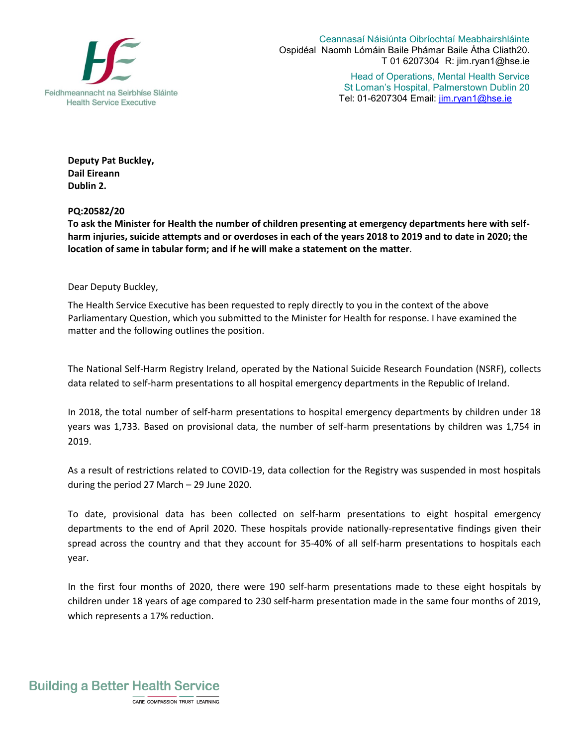

Ceannasaí Náisiúnta Oibríochtaí Meabhairshláinte Ospidéal Naomh Lómáin Baile Phámar Baile Átha Cliath20. T 01 6207304 R: jim.ryan1@hse.ie

> Head of Operations, Mental Health Service St Loman's Hospital, Palmerstown Dublin 20 Tel: 01-6207304 Email: jim.ryan1@hse.ie

**Deputy Pat Buckley, Dail Eireann Dublin 2.** 

**PQ:20582/20**

**To ask the Minister for Health the number of children presenting at emergency departments here with selfharm injuries, suicide attempts and or overdoses in each of the years 2018 to 2019 and to date in 2020; the location of same in tabular form; and if he will make a statement on the matter**.

Dear Deputy Buckley,

The Health Service Executive has been requested to reply directly to you in the context of the above Parliamentary Question, which you submitted to the Minister for Health for response. I have examined the matter and the following outlines the position.

The National Self-Harm Registry Ireland, operated by the National Suicide Research Foundation (NSRF), collects data related to self-harm presentations to all hospital emergency departments in the Republic of Ireland.

In 2018, the total number of self-harm presentations to hospital emergency departments by children under 18 years was 1,733. Based on provisional data, the number of self-harm presentations by children was 1,754 in 2019.

As a result of restrictions related to COVID-19, data collection for the Registry was suspended in most hospitals during the period 27 March – 29 June 2020.

To date, provisional data has been collected on self-harm presentations to eight hospital emergency departments to the end of April 2020. These hospitals provide nationally-representative findings given their spread across the country and that they account for 35-40% of all self-harm presentations to hospitals each year.

In the first four months of 2020, there were 190 self-harm presentations made to these eight hospitals by children under 18 years of age compared to 230 self-harm presentation made in the same four months of 2019, which represents a 17% reduction.